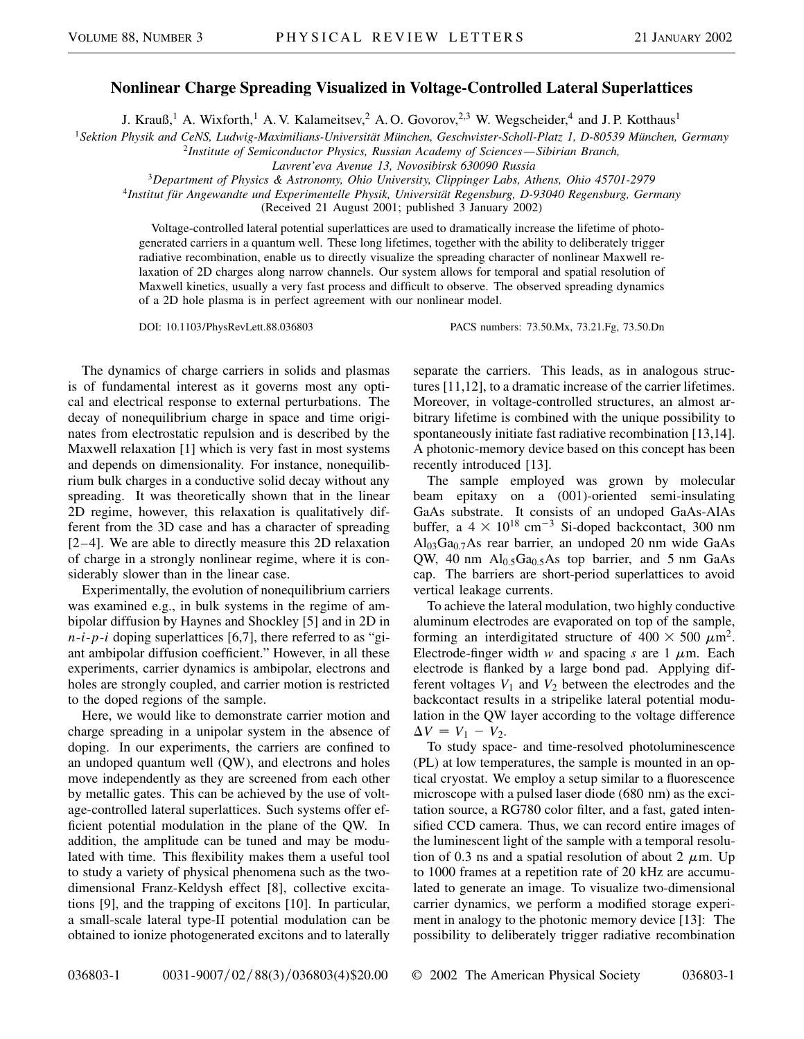## **Nonlinear Charge Spreading Visualized in Voltage-Controlled Lateral Superlattices**

J. Krauß,<sup>1</sup> A. Wixforth,<sup>1</sup> A. V. Kalameitsev,<sup>2</sup> A. O. Govorov,<sup>2,3</sup> W. Wegscheider,<sup>4</sup> and J. P. Kotthaus<sup>1</sup>

<sup>1</sup>*Sektion Physik and CeNS, Ludwig-Maximilians-Universität München, Geschwister-Scholl-Platz 1, D-80539 München, Germany*

<sup>2</sup>*Institute of Semiconductor Physics, Russian Academy of Sciences —Sibirian Branch,*

*Lavrent'eva Avenue 13, Novosibirsk 630090 Russia*

<sup>3</sup>*Department of Physics & Astronomy, Ohio University, Clippinger Labs, Athens, Ohio 45701-2979*

<sup>4</sup>*Institut für Angewandte und Experimentelle Physik, Universität Regensburg, D-93040 Regensburg, Germany*

(Received 21 August 2001; published 3 January 2002)

Voltage-controlled lateral potential superlattices are used to dramatically increase the lifetime of photogenerated carriers in a quantum well. These long lifetimes, together with the ability to deliberately trigger radiative recombination, enable us to directly visualize the spreading character of nonlinear Maxwell relaxation of 2D charges along narrow channels. Our system allows for temporal and spatial resolution of Maxwell kinetics, usually a very fast process and difficult to observe. The observed spreading dynamics of a 2D hole plasma is in perfect agreement with our nonlinear model.

DOI: 10.1103/PhysRevLett.88.036803 PACS numbers: 73.50.Mx, 73.21.Fg, 73.50.Dn

The dynamics of charge carriers in solids and plasmas is of fundamental interest as it governs most any optical and electrical response to external perturbations. The decay of nonequilibrium charge in space and time originates from electrostatic repulsion and is described by the Maxwell relaxation [1] which is very fast in most systems and depends on dimensionality. For instance, nonequilibrium bulk charges in a conductive solid decay without any spreading. It was theoretically shown that in the linear 2D regime, however, this relaxation is qualitatively different from the 3D case and has a character of spreading [2–4]. We are able to directly measure this 2D relaxation of charge in a strongly nonlinear regime, where it is considerably slower than in the linear case.

Experimentally, the evolution of nonequilibrium carriers was examined e.g., in bulk systems in the regime of ambipolar diffusion by Haynes and Shockley [5] and in 2D in *n*-*i*-*p*-*i* doping superlattices [6,7], there referred to as "giant ambipolar diffusion coefficient." However, in all these experiments, carrier dynamics is ambipolar, electrons and holes are strongly coupled, and carrier motion is restricted to the doped regions of the sample.

Here, we would like to demonstrate carrier motion and charge spreading in a unipolar system in the absence of doping. In our experiments, the carriers are confined to an undoped quantum well (QW), and electrons and holes move independently as they are screened from each other by metallic gates. This can be achieved by the use of voltage-controlled lateral superlattices. Such systems offer efficient potential modulation in the plane of the QW. In addition, the amplitude can be tuned and may be modulated with time. This flexibility makes them a useful tool to study a variety of physical phenomena such as the twodimensional Franz-Keldysh effect [8], collective excitations [9], and the trapping of excitons [10]. In particular, a small-scale lateral type-II potential modulation can be obtained to ionize photogenerated excitons and to laterally separate the carriers. This leads, as in analogous structures [11,12], to a dramatic increase of the carrier lifetimes. Moreover, in voltage-controlled structures, an almost arbitrary lifetime is combined with the unique possibility to spontaneously initiate fast radiative recombination [13,14]. A photonic-memory device based on this concept has been recently introduced [13].

The sample employed was grown by molecular beam epitaxy on a (001)-oriented semi-insulating GaAs substrate. It consists of an undoped GaAs-AlAs buffer, a  $4 \times 10^{18}$  cm<sup>-3</sup> Si-doped backcontact, 300 nm  $Al<sub>03</sub>Ga<sub>0.7</sub>As rear barrier, an undoped 20 nm wide GaAs$ QW, 40 nm  $Al<sub>0.5</sub>Ga<sub>0.5</sub>As$  top barrier, and 5 nm GaAs cap. The barriers are short-period superlattices to avoid vertical leakage currents.

To achieve the lateral modulation, two highly conductive aluminum electrodes are evaporated on top of the sample, forming an interdigitated structure of  $400 \times 500 \ \mu \text{m}^2$ . Electrode-finger width  $w$  and spacing  $s$  are 1  $\mu$ m. Each electrode is flanked by a large bond pad. Applying different voltages  $V_1$  and  $V_2$  between the electrodes and the backcontact results in a stripelike lateral potential modulation in the QW layer according to the voltage difference  $\Delta V = V_1 - V_2$ .

To study space- and time-resolved photoluminescence (PL) at low temperatures, the sample is mounted in an optical cryostat. We employ a setup similar to a fluorescence microscope with a pulsed laser diode (680 nm) as the excitation source, a RG780 color filter, and a fast, gated intensified CCD camera. Thus, we can record entire images of the luminescent light of the sample with a temporal resolution of 0.3 ns and a spatial resolution of about 2  $\mu$ m. Up to 1000 frames at a repetition rate of 20 kHz are accumulated to generate an image. To visualize two-dimensional carrier dynamics, we perform a modified storage experiment in analogy to the photonic memory device [13]: The possibility to deliberately trigger radiative recombination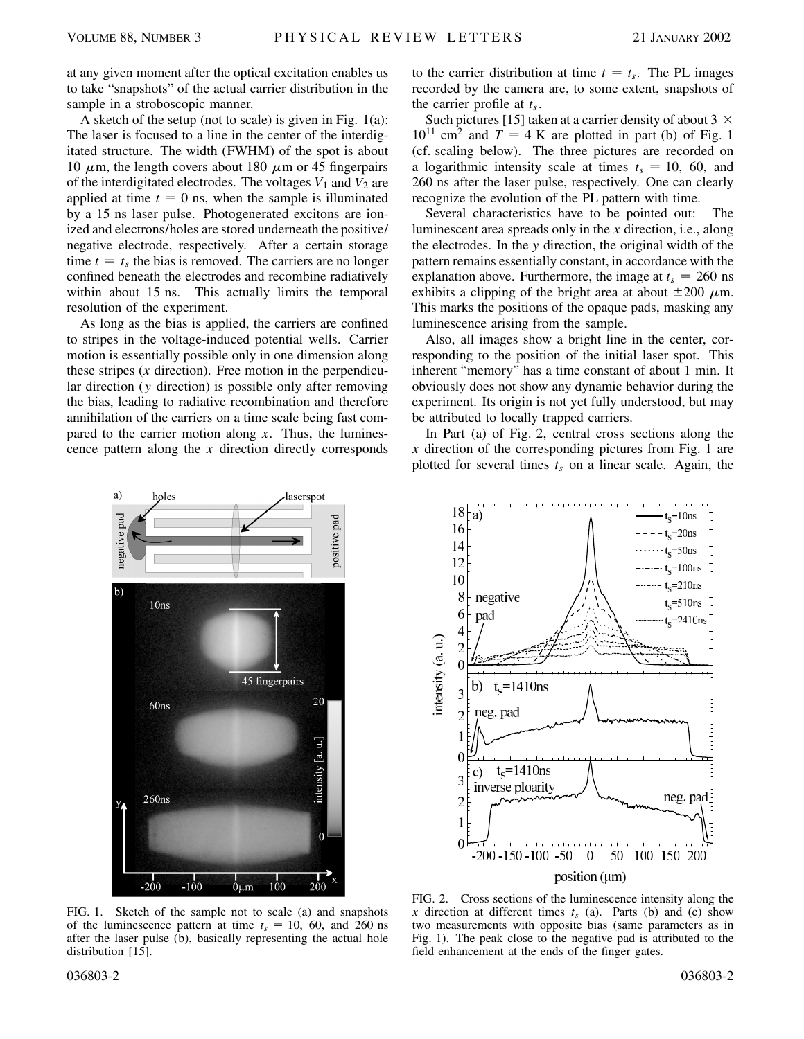at any given moment after the optical excitation enables us to take "snapshots" of the actual carrier distribution in the sample in a stroboscopic manner.

A sketch of the setup (not to scale) is given in Fig. 1(a): The laser is focused to a line in the center of the interdigitated structure. The width (FWHM) of the spot is about 10  $\mu$ m, the length covers about 180  $\mu$ m or 45 fingerpairs of the interdigitated electrodes. The voltages  $V_1$  and  $V_2$  are applied at time  $t = 0$  ns, when the sample is illuminated by a 15 ns laser pulse. Photogenerated excitons are ionized and electrons/holes are stored underneath the positive/ negative electrode, respectively. After a certain storage time  $t = t_s$  the bias is removed. The carriers are no longer confined beneath the electrodes and recombine radiatively within about 15 ns. This actually limits the temporal resolution of the experiment.

As long as the bias is applied, the carriers are confined to stripes in the voltage-induced potential wells. Carrier motion is essentially possible only in one dimension along these stripes (*x* direction). Free motion in the perpendicular direction (*y* direction) is possible only after removing the bias, leading to radiative recombination and therefore annihilation of the carriers on a time scale being fast compared to the carrier motion along *x*. Thus, the luminescence pattern along the *x* direction directly corresponds

to the carrier distribution at time  $t = t_s$ . The PL images recorded by the camera are, to some extent, snapshots of the carrier profile at  $t_s$ .

Such pictures [15] taken at a carrier density of about 3  $\times$  $10^{11}$  cm<sup>2</sup> and  $T = 4$  K are plotted in part (b) of Fig. 1 (cf. scaling below). The three pictures are recorded on a logarithmic intensity scale at times  $t_s = 10$ , 60, and 260 ns after the laser pulse, respectively. One can clearly recognize the evolution of the PL pattern with time.

Several characteristics have to be pointed out: The luminescent area spreads only in the *x* direction, i.e., along the electrodes. In the *y* direction, the original width of the pattern remains essentially constant, in accordance with the explanation above. Furthermore, the image at  $t_s = 260$  ns exhibits a clipping of the bright area at about  $\pm 200 \mu$ m. This marks the positions of the opaque pads, masking any luminescence arising from the sample.

Also, all images show a bright line in the center, corresponding to the position of the initial laser spot. This inherent "memory" has a time constant of about 1 min. It obviously does not show any dynamic behavior during the experiment. Its origin is not yet fully understood, but may be attributed to locally trapped carriers.

In Part (a) of Fig. 2, central cross sections along the *x* direction of the corresponding pictures from Fig. 1 are plotted for several times  $t_s$  on a linear scale. Again, the



FIG. 1. Sketch of the sample not to scale (a) and snapshots of the luminescence pattern at time  $t_s = 10$ , 60, and 260 ns after the laser pulse (b), basically representing the actual hole distribution [15].



FIG. 2. Cross sections of the luminescence intensity along the *x* direction at different times  $t_s$  (a). Parts (b) and (c) show two measurements with opposite bias (same parameters as in Fig. 1). The peak close to the negative pad is attributed to the field enhancement at the ends of the finger gates.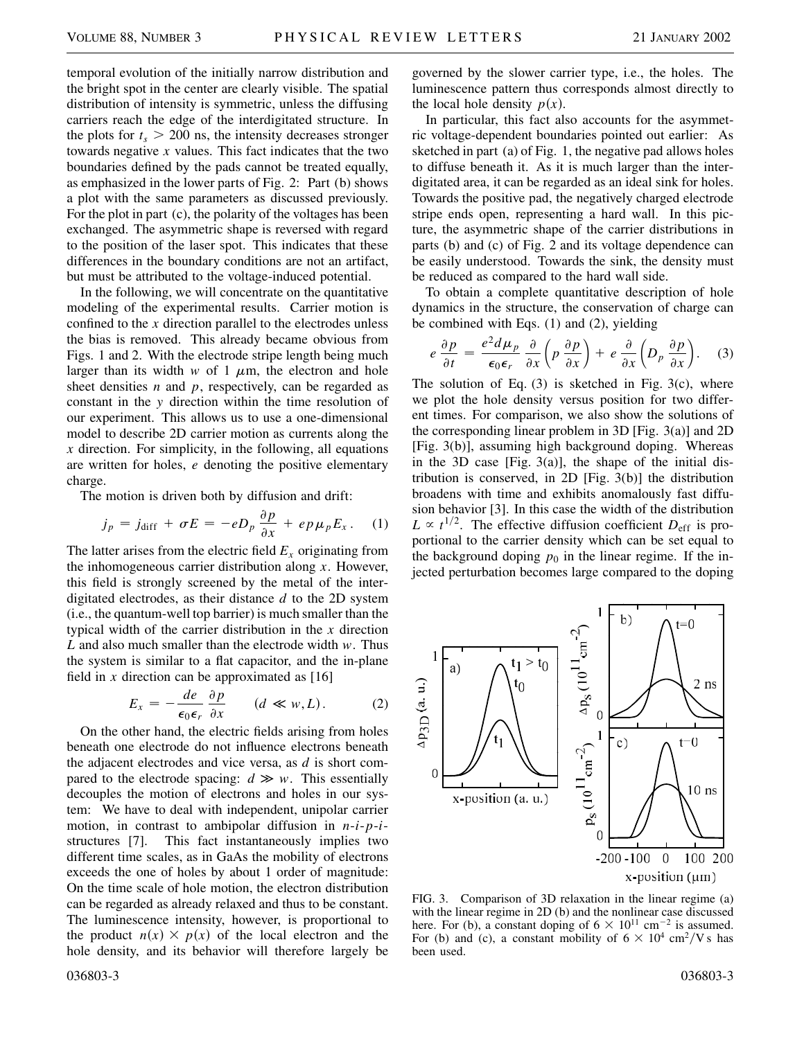temporal evolution of the initially narrow distribution and the bright spot in the center are clearly visible. The spatial distribution of intensity is symmetric, unless the diffusing carriers reach the edge of the interdigitated structure. In the plots for  $t_s$   $>$  200 ns, the intensity decreases stronger towards negative *x* values. This fact indicates that the two boundaries defined by the pads cannot be treated equally, as emphasized in the lower parts of Fig. 2: Part (b) shows a plot with the same parameters as discussed previously. For the plot in part (c), the polarity of the voltages has been exchanged. The asymmetric shape is reversed with regard to the position of the laser spot. This indicates that these differences in the boundary conditions are not an artifact, but must be attributed to the voltage-induced potential.

In the following, we will concentrate on the quantitative modeling of the experimental results. Carrier motion is confined to the *x* direction parallel to the electrodes unless the bias is removed. This already became obvious from Figs. 1 and 2. With the electrode stripe length being much larger than its width  $w$  of 1  $\mu$ m, the electron and hole sheet densities *n* and *p*, respectively, can be regarded as constant in the *y* direction within the time resolution of our experiment. This allows us to use a one-dimensional model to describe 2D carrier motion as currents along the *x* direction. For simplicity, in the following, all equations are written for holes, *e* denoting the positive elementary charge.

The motion is driven both by diffusion and drift:

$$
j_p = j_{\text{diff}} + \sigma E = -eD_p \frac{\partial p}{\partial x} + e p \mu_p E_x. \quad (1)
$$

The latter arises from the electric field  $E<sub>x</sub>$  originating from the inhomogeneous carrier distribution along *x*. However, this field is strongly screened by the metal of the interdigitated electrodes, as their distance *d* to the 2D system (i.e., the quantum-well top barrier) is much smaller than the typical width of the carrier distribution in the *x* direction *L* and also much smaller than the electrode width *w*. Thus the system is similar to a flat capacitor, and the in-plane field in  $x$  direction can be approximated as  $[16]$ 

$$
E_x = -\frac{de}{\epsilon_0 \epsilon_r} \frac{\partial p}{\partial x} \qquad (d \ll w, L). \tag{2}
$$

On the other hand, the electric fields arising from holes beneath one electrode do not influence electrons beneath the adjacent electrodes and vice versa, as *d* is short compared to the electrode spacing:  $d \gg w$ . This essentially decouples the motion of electrons and holes in our system: We have to deal with independent, unipolar carrier motion, in contrast to ambipolar diffusion in *n*-*i*-*p*-*i*structures [7]. This fact instantaneously implies two different time scales, as in GaAs the mobility of electrons exceeds the one of holes by about 1 order of magnitude: On the time scale of hole motion, the electron distribution can be regarded as already relaxed and thus to be constant. The luminescence intensity, however, is proportional to the product  $n(x) \times p(x)$  of the local electron and the hole density, and its behavior will therefore largely be

governed by the slower carrier type, i.e., the holes. The luminescence pattern thus corresponds almost directly to the local hole density  $p(x)$ .

In particular, this fact also accounts for the asymmetric voltage-dependent boundaries pointed out earlier: As sketched in part (a) of Fig. 1, the negative pad allows holes to diffuse beneath it. As it is much larger than the interdigitated area, it can be regarded as an ideal sink for holes. Towards the positive pad, the negatively charged electrode stripe ends open, representing a hard wall. In this picture, the asymmetric shape of the carrier distributions in parts (b) and (c) of Fig. 2 and its voltage dependence can be easily understood. Towards the sink, the density must be reduced as compared to the hard wall side.

To obtain a complete quantitative description of hole dynamics in the structure, the conservation of charge can be combined with Eqs. (1) and (2), yielding

$$
e \frac{\partial p}{\partial t} = \frac{e^2 d \mu_p}{\epsilon_0 \epsilon_r} \frac{\partial}{\partial x} \left( p \frac{\partial p}{\partial x} \right) + e \frac{\partial}{\partial x} \left( D_p \frac{\partial p}{\partial x} \right). \quad (3)
$$

The solution of Eq.  $(3)$  is sketched in Fig. 3(c), where we plot the hole density versus position for two different times. For comparison, we also show the solutions of the corresponding linear problem in 3D [Fig. 3(a)] and 2D [Fig. 3(b)], assuming high background doping. Whereas in the 3D case [Fig. 3(a)], the shape of the initial distribution is conserved, in 2D [Fig. 3(b)] the distribution broadens with time and exhibits anomalously fast diffusion behavior [3]. In this case the width of the distribution  $L \propto t^{1/2}$ . The effective diffusion coefficient  $D_{\text{eff}}$  is proportional to the carrier density which can be set equal to the background doping  $p_0$  in the linear regime. If the injected perturbation becomes large compared to the doping



FIG. 3. Comparison of 3D relaxation in the linear regime (a) with the linear regime in 2D (b) and the nonlinear case discussed here. For (b), a constant doping of  $6 \times 10^{11}$  cm<sup>-2</sup> is assumed. For (b) and (c), a constant mobility of  $6 \times 10^4$  cm<sup>2</sup>/V s has been used.